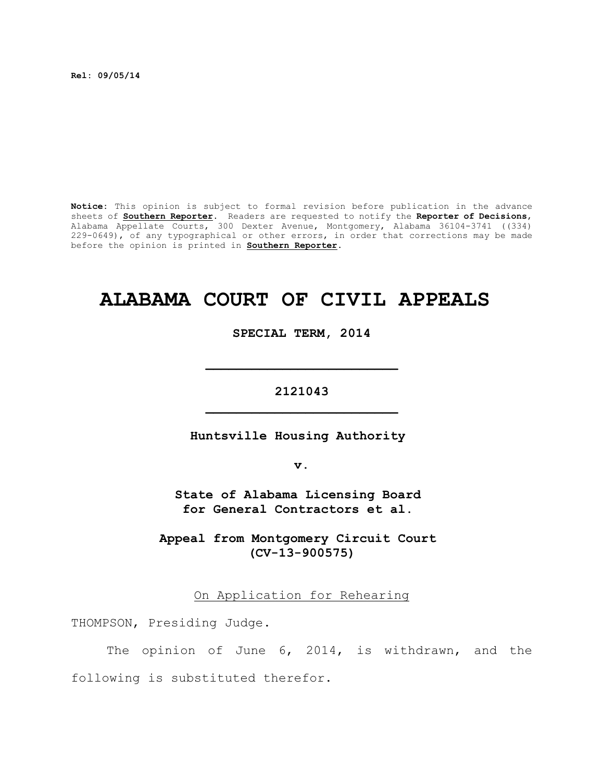**Rel: 09/05/14**

**Notice:** This opinion is subject to formal revision before publication in the advance sheets of **Southern Reporter**. Readers are requested to notify the **Reporter of Decisions**, Alabama Appellate Courts, 300 Dexter Avenue, Montgomery, Alabama 36104-3741 ((334) 229-0649), of any typographical or other errors, in order that corrections may be made before the opinion is printed in **Southern Reporter**.

# **ALABAMA COURT OF CIVIL APPEALS**

**SPECIAL TERM, 2014**

**2121043 \_\_\_\_\_\_\_\_\_\_\_\_\_\_\_\_\_\_\_\_\_\_\_\_\_**

**\_\_\_\_\_\_\_\_\_\_\_\_\_\_\_\_\_\_\_\_\_\_\_\_\_**

**Huntsville Housing Authority** 

**v.**

**State of Alabama Licensing Board for General Contractors et al.**

**Appeal from Montgomery Circuit Court (CV-13-900575)**

On Application for Rehearing

THOMPSON, Presiding Judge.

The opinion of June 6, 2014, is withdrawn, and the following is substituted therefor.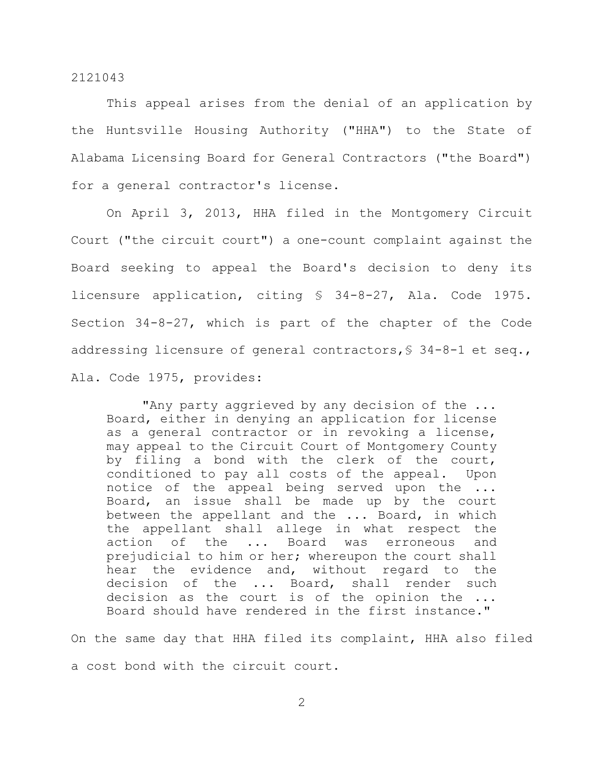This appeal arises from the denial of an application by the Huntsville Housing Authority ("HHA") to the State of Alabama Licensing Board for General Contractors ("the Board") for a general contractor's license.

On April 3, 2013, HHA filed in the Montgomery Circuit Court ("the circuit court") a one-count complaint against the Board seeking to appeal the Board's decision to deny its licensure application, citing § 34-8-27, Ala. Code 1975. Section 34-8-27, which is part of the chapter of the Code addressing licensure of general contractors,§ 34-8-1 et seq., Ala. Code 1975, provides:

"Any party aggrieved by any decision of the ... Board, either in denying an application for license as a general contractor or in revoking a license, may appeal to the Circuit Court of Montgomery County by filing a bond with the clerk of the court, conditioned to pay all costs of the appeal. Upon notice of the appeal being served upon the ... Board, an issue shall be made up by the court between the appellant and the ... Board, in which the appellant shall allege in what respect the action of the ... Board was erroneous and prejudicial to him or her; whereupon the court shall hear the evidence and, without regard to the decision of the ... Board, shall render such decision as the court is of the opinion the ... Board should have rendered in the first instance."

On the same day that HHA filed its complaint, HHA also filed a cost bond with the circuit court.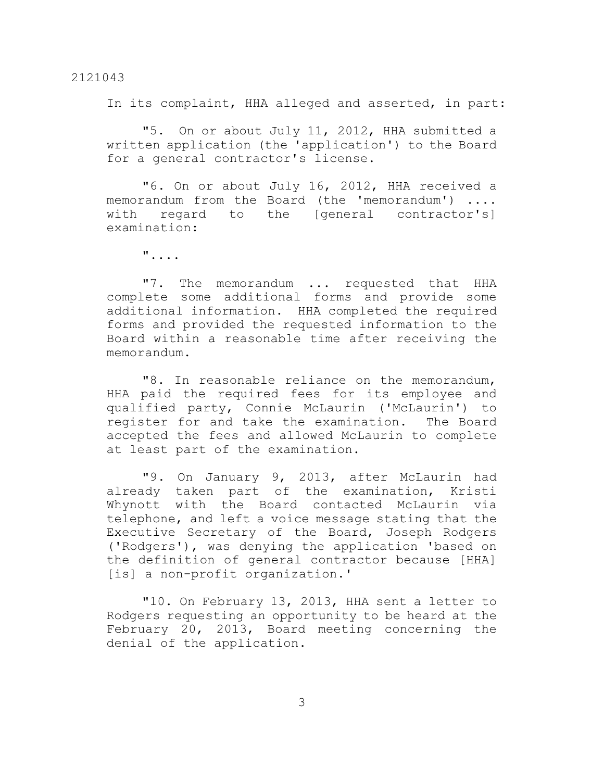In its complaint, HHA alleged and asserted, in part:

"5. On or about July 11, 2012, HHA submitted a written application (the 'application') to the Board for a general contractor's license.

"6. On or about July 16, 2012, HHA received a memorandum from the Board (the 'memorandum') .... with regard to the [general contractor's] examination:

"....

"7. The memorandum ... requested that HHA complete some additional forms and provide some additional information. HHA completed the required forms and provided the requested information to the Board within a reasonable time after receiving the memorandum.

"8. In reasonable reliance on the memorandum, HHA paid the required fees for its employee and qualified party, Connie McLaurin ('McLaurin') to register for and take the examination. The Board accepted the fees and allowed McLaurin to complete at least part of the examination.

"9. On January 9, 2013, after McLaurin had already taken part of the examination, Kristi Whynott with the Board contacted McLaurin via telephone, and left a voice message stating that the Executive Secretary of the Board, Joseph Rodgers ('Rodgers'), was denying the application 'based on the definition of general contractor because [HHA] [is] a non-profit organization.'

"10. On February 13, 2013, HHA sent a letter to Rodgers requesting an opportunity to be heard at the February 20, 2013, Board meeting concerning the denial of the application.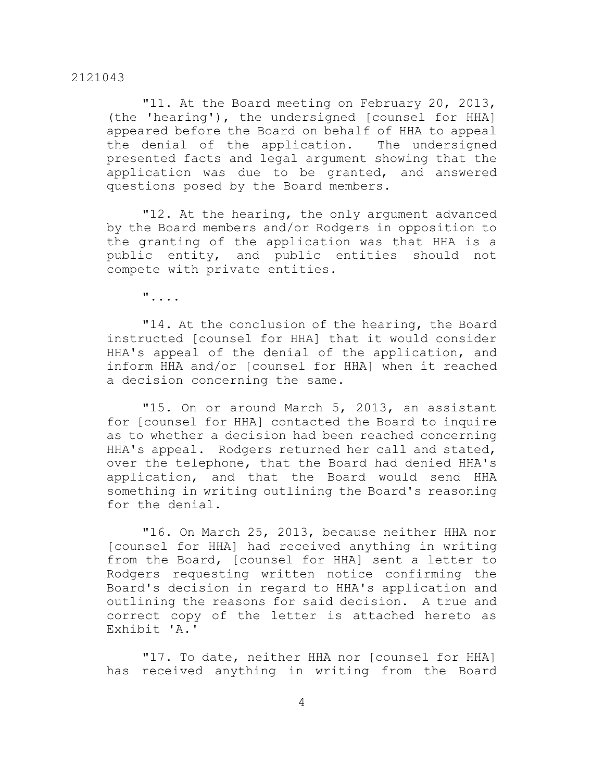"11. At the Board meeting on February 20, 2013, (the 'hearing'), the undersigned [counsel for HHA] appeared before the Board on behalf of HHA to appeal the denial of the application. The undersigned presented facts and legal argument showing that the application was due to be granted, and answered questions posed by the Board members.

"12. At the hearing, the only argument advanced by the Board members and/or Rodgers in opposition to the granting of the application was that HHA is a public entity, and public entities should not compete with private entities.

"....

"14. At the conclusion of the hearing, the Board instructed [counsel for HHA] that it would consider HHA's appeal of the denial of the application, and inform HHA and/or [counsel for HHA] when it reached a decision concerning the same.

"15. On or around March 5, 2013, an assistant for [counsel for HHA] contacted the Board to inquire as to whether a decision had been reached concerning HHA's appeal. Rodgers returned her call and stated, over the telephone, that the Board had denied HHA's application, and that the Board would send HHA something in writing outlining the Board's reasoning for the denial.

"16. On March 25, 2013, because neither HHA nor [counsel for HHA] had received anything in writing from the Board, [counsel for HHA] sent a letter to Rodgers requesting written notice confirming the Board's decision in regard to HHA's application and outlining the reasons for said decision. A true and correct copy of the letter is attached hereto as Exhibit 'A.'

"17. To date, neither HHA nor [counsel for HHA] has received anything in writing from the Board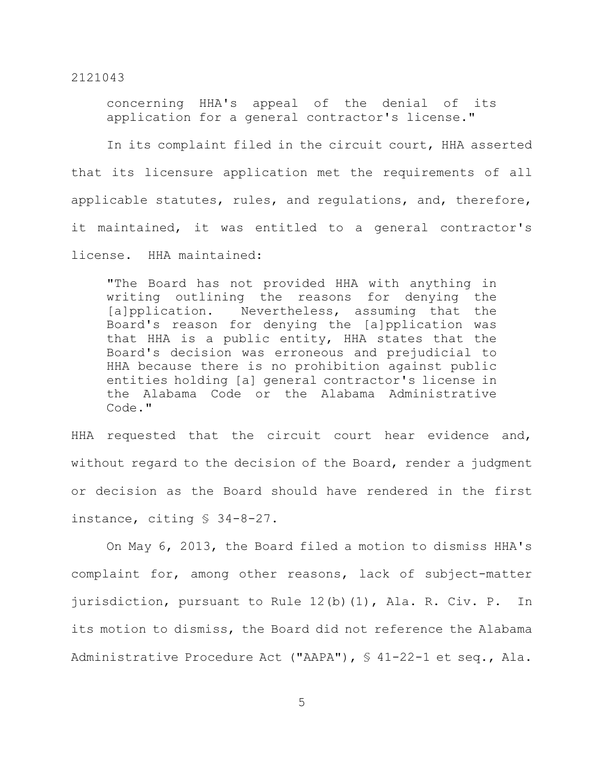concerning HHA's appeal of the denial of its application for a general contractor's license."

In its complaint filed in the circuit court, HHA asserted that its licensure application met the requirements of all applicable statutes, rules, and regulations, and, therefore, it maintained, it was entitled to a general contractor's license. HHA maintained:

"The Board has not provided HHA with anything in writing outlining the reasons for denying the [a]pplication. Nevertheless, assuming that the Board's reason for denying the [a]pplication was that HHA is a public entity, HHA states that the Board's decision was erroneous and prejudicial to HHA because there is no prohibition against public entities holding [a] general contractor's license in the Alabama Code or the Alabama Administrative Code."

HHA requested that the circuit court hear evidence and, without regard to the decision of the Board, render a judgment or decision as the Board should have rendered in the first instance, citing § 34-8-27.

On May 6, 2013, the Board filed a motion to dismiss HHA's complaint for, among other reasons, lack of subject-matter jurisdiction, pursuant to Rule 12(b)(1), Ala. R. Civ. P. In its motion to dismiss, the Board did not reference the Alabama Administrative Procedure Act ("AAPA"), § 41-22-1 et seq., Ala.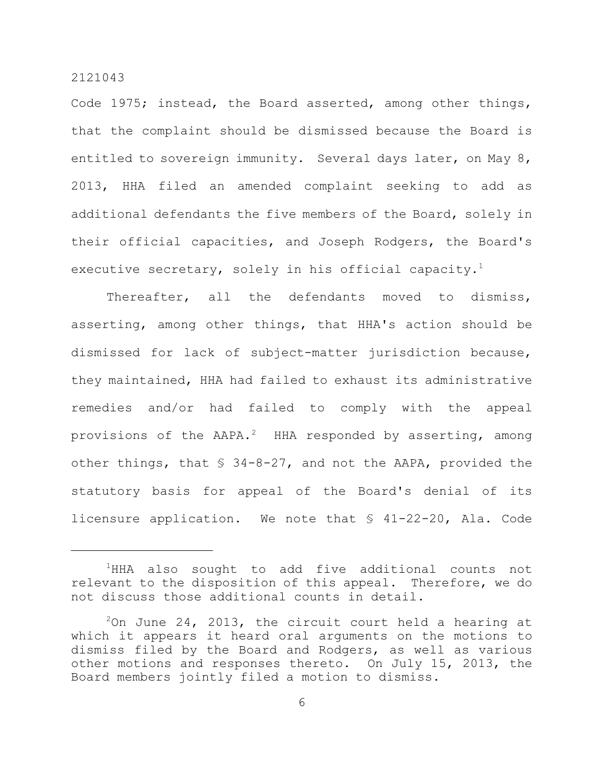Code 1975; instead, the Board asserted, among other things, that the complaint should be dismissed because the Board is entitled to sovereign immunity. Several days later, on May 8, 2013, HHA filed an amended complaint seeking to add as additional defendants the five members of the Board, solely in their official capacities, and Joseph Rodgers, the Board's executive secretary, solely in his official capacity. $^1$ 

Thereafter, all the defendants moved to dismiss, asserting, among other things, that HHA's action should be dismissed for lack of subject-matter jurisdiction because, they maintained, HHA had failed to exhaust its administrative remedies and/or had failed to comply with the appeal provisions of the AAPA.<sup>2</sup> HHA responded by asserting, among other things, that § 34-8-27, and not the AAPA, provided the statutory basis for appeal of the Board's denial of its licensure application. We note that § 41-22-20, Ala. Code

 $1$ HHA also sought to add five additional counts not relevant to the disposition of this appeal. Therefore, we do not discuss those additional counts in detail.

 $20n$  June 24, 2013, the circuit court held a hearing at which it appears it heard oral arguments on the motions to dismiss filed by the Board and Rodgers, as well as various other motions and responses thereto. On July 15, 2013, the Board members jointly filed a motion to dismiss.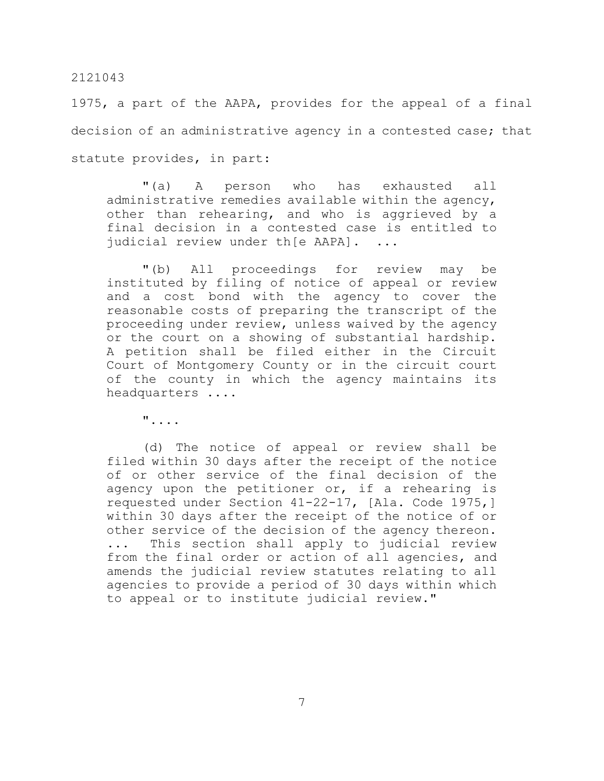1975, a part of the AAPA, provides for the appeal of a final decision of an administrative agency in a contested case; that statute provides, in part:

"(a) A person who has exhausted all administrative remedies available within the agency, other than rehearing, and who is aggrieved by a final decision in a contested case is entitled to judicial review under th[e AAPA]. ...

"(b) All proceedings for review may be instituted by filing of notice of appeal or review and a cost bond with the agency to cover the reasonable costs of preparing the transcript of the proceeding under review, unless waived by the agency or the court on a showing of substantial hardship. A petition shall be filed either in the Circuit Court of Montgomery County or in the circuit court of the county in which the agency maintains its headquarters ....

"....

(d) The notice of appeal or review shall be filed within 30 days after the receipt of the notice of or other service of the final decision of the agency upon the petitioner or, if a rehearing is requested under Section 41-22-17, [Ala. Code 1975,] within 30 days after the receipt of the notice of or other service of the decision of the agency thereon. ... This section shall apply to judicial review from the final order or action of all agencies, and amends the judicial review statutes relating to all agencies to provide a period of 30 days within which to appeal or to institute judicial review."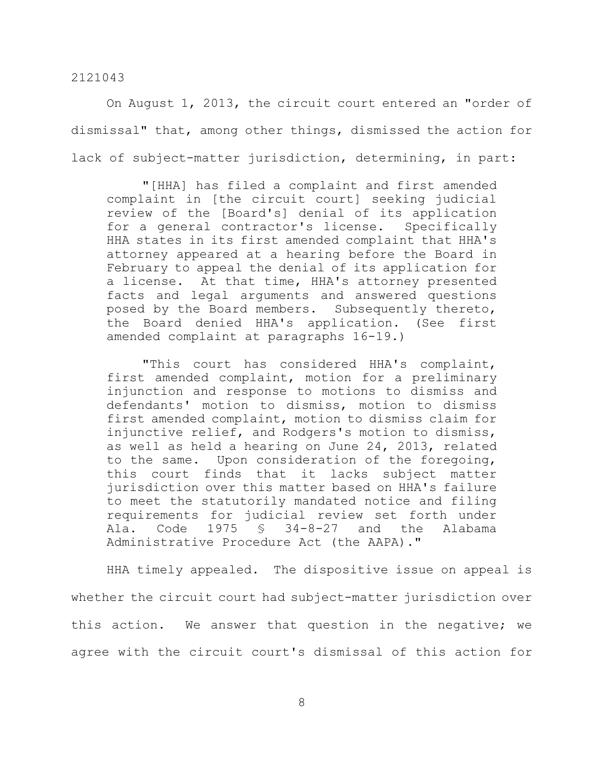On August 1, 2013, the circuit court entered an "order of dismissal" that, among other things, dismissed the action for lack of subject-matter jurisdiction, determining, in part:

"[HHA] has filed a complaint and first amended complaint in [the circuit court] seeking judicial review of the [Board's] denial of its application for a general contractor's license. Specifically HHA states in its first amended complaint that HHA's attorney appeared at a hearing before the Board in February to appeal the denial of its application for a license. At that time, HHA's attorney presented facts and legal arguments and answered questions posed by the Board members. Subsequently thereto, the Board denied HHA's application. (See first amended complaint at paragraphs 16-19.)

"This court has considered HHA's complaint, first amended complaint, motion for a preliminary injunction and response to motions to dismiss and defendants' motion to dismiss, motion to dismiss first amended complaint, motion to dismiss claim for injunctive relief, and Rodgers's motion to dismiss, as well as held a hearing on June 24, 2013, related to the same. Upon consideration of the foregoing, this court finds that it lacks subject matter jurisdiction over this matter based on HHA's failure to meet the statutorily mandated notice and filing requirements for judicial review set forth under Ala. Code 1975 § 34-8-27 and the Alabama Administrative Procedure Act (the AAPA)."

HHA timely appealed. The dispositive issue on appeal is whether the circuit court had subject-matter jurisdiction over this action. We answer that question in the negative; we agree with the circuit court's dismissal of this action for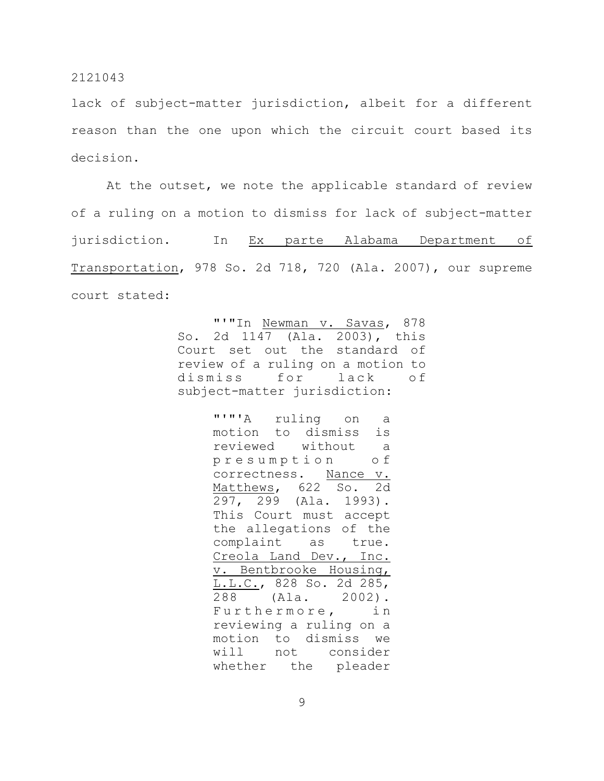lack of subject-matter jurisdiction, albeit for a different reason than the one upon which the circuit court based its decision.

At the outset, we note the applicable standard of review of a ruling on a motion to dismiss for lack of subject-matter jurisdiction. In Ex parte Alabama Department of Transportation, 978 So. 2d 718, 720 (Ala. 2007), our supreme court stated:

> "'"In Newman v. Savas, 878 So. 2d 1147 (Ala. 2003), this Court set out the standard of review of a ruling on a motion to dismiss for lack of subject-matter jurisdiction:

> > "'"'A ruling on a motion to dismiss is reviewed without a p r e s u m p t i o n o f correctness. Nance v. Matthews, 622 So. 2d 297, 299 (Ala. 1993). This Court must accept the allegations of the complaint as true. Creola Land Dev., Inc. v. Bentbrooke Housing, L.L.C., 828 So. 2d 285, 288 (Ala. 2002). Furthermore, in reviewing a ruling on a motion to dismiss we will not consider whether the pleader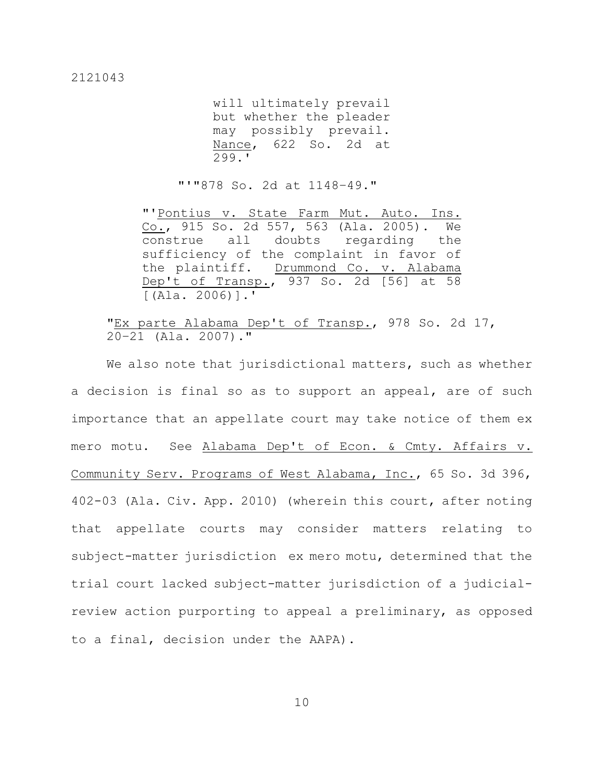will ultimately prevail but whether the pleader may possibly prevail. Nance, 622 So. 2d at 299.'

"'"878 So. 2d at 1148–49."

"'Pontius v. State Farm Mut. Auto. Ins. Co., 915 So. 2d 557, 563 (Ala. 2005). We construe all doubts regarding the sufficiency of the complaint in favor of the plaintiff. Drummond Co. v. Alabama Dep't of Transp., 937 So. 2d [56] at 58  $[(\text{Ala. } 2006)]$ .

"Ex parte Alabama Dep't of Transp., 978 So. 2d 17, 20–21 (Ala. 2007)."

We also note that jurisdictional matters, such as whether a decision is final so as to support an appeal, are of such importance that an appellate court may take notice of them ex mero motu. See Alabama Dep't of Econ. & Cmty. Affairs v. Community Serv. Programs of West Alabama, Inc., 65 So. 3d 396, 402-03 (Ala. Civ. App. 2010) (wherein this court, after noting that appellate courts may consider matters relating to subject-matter jurisdiction ex mero motu, determined that the trial court lacked subject-matter jurisdiction of a judicialreview action purporting to appeal a preliminary, as opposed to a final, decision under the AAPA).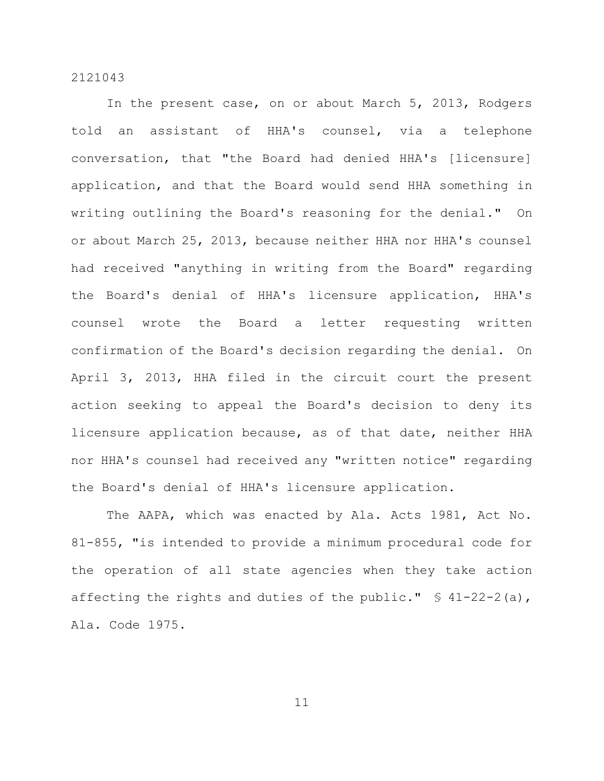In the present case, on or about March 5, 2013, Rodgers told an assistant of HHA's counsel, via a telephone conversation, that "the Board had denied HHA's [licensure] application, and that the Board would send HHA something in writing outlining the Board's reasoning for the denial." On or about March 25, 2013, because neither HHA nor HHA's counsel had received "anything in writing from the Board" regarding the Board's denial of HHA's licensure application, HHA's counsel wrote the Board a letter requesting written confirmation of the Board's decision regarding the denial. On April 3, 2013, HHA filed in the circuit court the present action seeking to appeal the Board's decision to deny its licensure application because, as of that date, neither HHA nor HHA's counsel had received any "written notice" regarding the Board's denial of HHA's licensure application.

The AAPA, which was enacted by Ala. Acts 1981, Act No. 81-855, "is intended to provide a minimum procedural code for the operation of all state agencies when they take action affecting the rights and duties of the public."  $\frac{1}{2}$  41-22-2(a), Ala. Code 1975.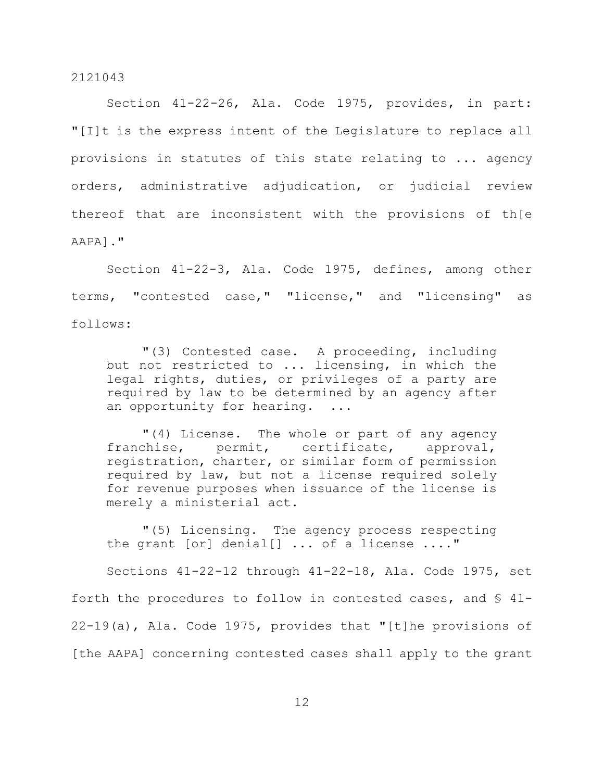Section 41-22-26, Ala. Code 1975, provides, in part: "[I]t is the express intent of the Legislature to replace all provisions in statutes of this state relating to ... agency orders, administrative adjudication, or judicial review thereof that are inconsistent with the provisions of th[e AAPA]."

Section 41-22-3, Ala. Code 1975, defines, among other terms, "contested case," "license," and "licensing" as follows:

"(3) Contested case. A proceeding, including but not restricted to ... licensing, in which the legal rights, duties, or privileges of a party are required by law to be determined by an agency after an opportunity for hearing. ...

"(4) License. The whole or part of any agency franchise, permit, certificate, approval, registration, charter, or similar form of permission required by law, but not a license required solely for revenue purposes when issuance of the license is merely a ministerial act.

"(5) Licensing. The agency process respecting the grant [or] denial[] ... of a license ...."

Sections 41-22-12 through 41-22-18, Ala. Code 1975, set forth the procedures to follow in contested cases, and  $\S$  41-22-19(a), Ala. Code 1975, provides that "[t]he provisions of [the AAPA] concerning contested cases shall apply to the grant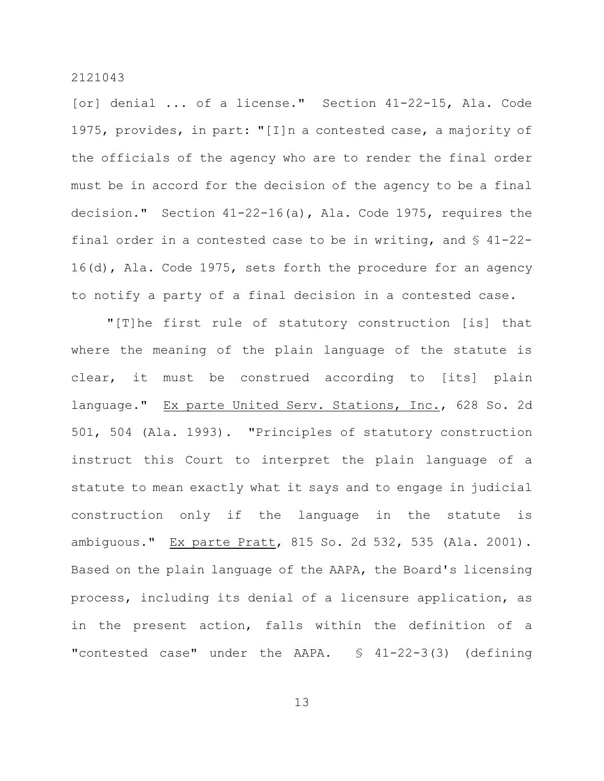[or] denial ... of a license." Section 41-22-15, Ala. Code 1975, provides, in part: "[I]n a contested case, a majority of the officials of the agency who are to render the final order must be in accord for the decision of the agency to be a final decision." Section 41-22-16(a), Ala. Code 1975, requires the final order in a contested case to be in writing, and § 41-22- 16(d), Ala. Code 1975, sets forth the procedure for an agency to notify a party of a final decision in a contested case.

"[T]he first rule of statutory construction [is] that where the meaning of the plain language of the statute is clear, it must be construed according to [its] plain language." Ex parte United Serv. Stations, Inc., 628 So. 2d 501, 504 (Ala. 1993). "Principles of statutory construction instruct this Court to interpret the plain language of a statute to mean exactly what it says and to engage in judicial construction only if the language in the statute is ambiguous." Ex parte Pratt, 815 So. 2d 532, 535 (Ala. 2001). Based on the plain language of the AAPA, the Board's licensing process, including its denial of a licensure application, as in the present action, falls within the definition of a "contested case" under the AAPA.  $\frac{1}{2}$  41-22-3(3) (defining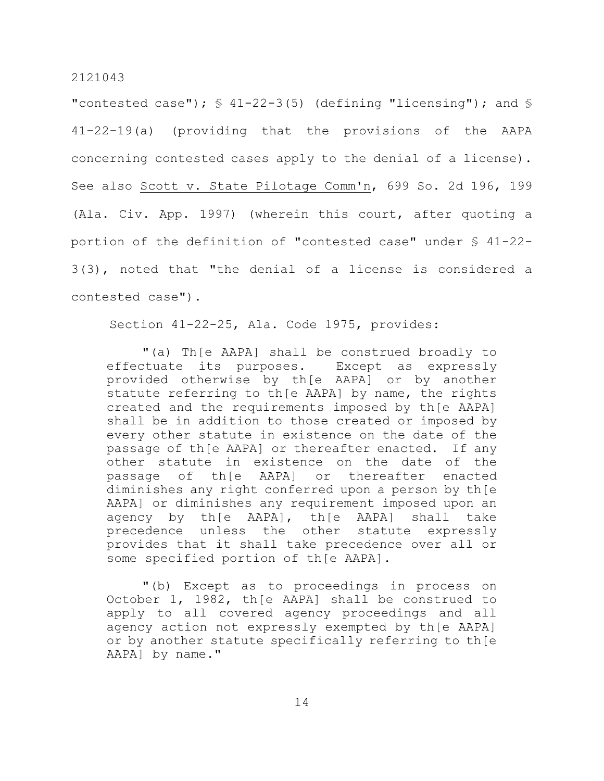"contested case");  $\frac{1}{5}$  41-22-3(5) (defining "licensing"); and  $\frac{1}{5}$ 41-22-19(a) (providing that the provisions of the AAPA concerning contested cases apply to the denial of a license). See also Scott v. State Pilotage Comm'n, 699 So. 2d 196, 199 (Ala. Civ. App. 1997) (wherein this court, after quoting a portion of the definition of "contested case" under § 41-22- 3(3), noted that "the denial of a license is considered a contested case").

Section 41-22-25, Ala. Code 1975, provides:

"(a) Th[e AAPA] shall be construed broadly to effectuate its purposes. Except as expressly provided otherwise by th[e AAPA] or by another statute referring to th[e AAPA] by name, the rights created and the requirements imposed by th[e AAPA] shall be in addition to those created or imposed by every other statute in existence on the date of the passage of th[e AAPA] or thereafter enacted. If any other statute in existence on the date of the passage of th[e AAPA] or thereafter enacted diminishes any right conferred upon a person by th[e AAPA] or diminishes any requirement imposed upon an agency by th[e AAPA], th[e AAPA] shall take precedence unless the other statute expressly provides that it shall take precedence over all or some specified portion of th[e AAPA].

"(b) Except as to proceedings in process on October 1, 1982, th[e AAPA] shall be construed to apply to all covered agency proceedings and all agency action not expressly exempted by th[e AAPA] or by another statute specifically referring to th[e AAPA] by name."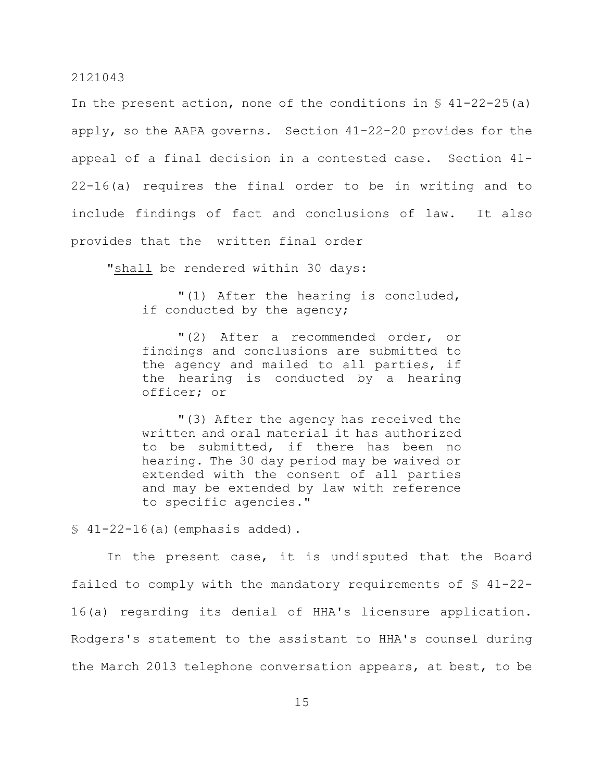In the present action, none of the conditions in  $\S$  41-22-25(a) apply, so the AAPA governs. Section 41-22-20 provides for the appeal of a final decision in a contested case. Section 41- 22-16(a) requires the final order to be in writing and to include findings of fact and conclusions of law. It also provides that the written final order

"shall be rendered within 30 days:

"(1) After the hearing is concluded, if conducted by the agency;

"(2) After a recommended order, or findings and conclusions are submitted to the agency and mailed to all parties, if the hearing is conducted by a hearing officer; or

"(3) After the agency has received the written and oral material it has authorized to be submitted, if there has been no hearing. The 30 day period may be waived or extended with the consent of all parties and may be extended by law with reference to specific agencies."

 $$41-22-16(a)$  (emphasis added).

In the present case, it is undisputed that the Board failed to comply with the mandatory requirements of § 41-22- 16(a) regarding its denial of HHA's licensure application. Rodgers's statement to the assistant to HHA's counsel during the March 2013 telephone conversation appears, at best, to be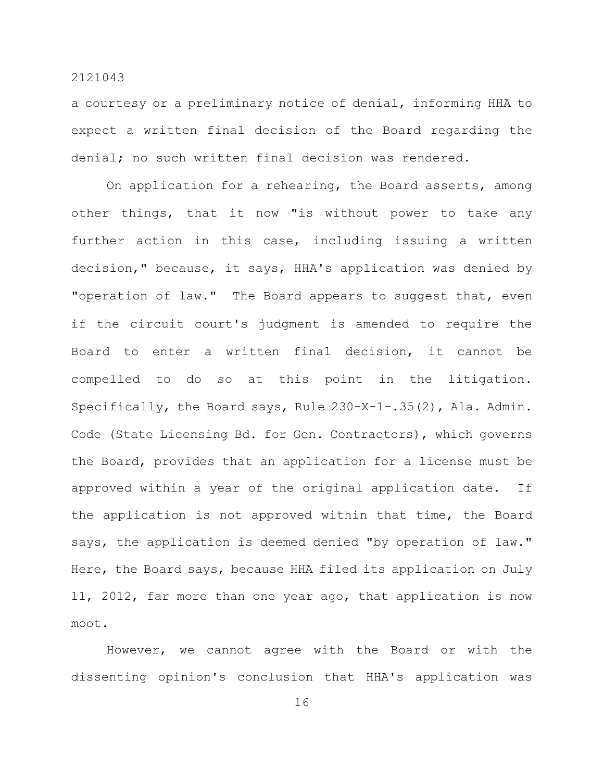a courtesy or a preliminary notice of denial, informing HHA to expect a written final decision of the Board regarding the denial; no such written final decision was rendered.

On application for a rehearing, the Board asserts, among other things, that it now "is without power to take any further action in this case, including issuing a written decision," because, it says, HHA's application was denied by "operation of law." The Board appears to suggest that, even if the circuit court's judgment is amended to require the Board to enter a written final decision, it cannot be compelled to do so at this point in the litigation. Specifically, the Board says, Rule 230-X-1-.35(2), Ala. Admin. Code (State Licensing Bd. for Gen. Contractors), which governs the Board, provides that an application for a license must be approved within a year of the original application date. If the application is not approved within that time, the Board says, the application is deemed denied "by operation of law." Here, the Board says, because HHA filed its application on July 11, 2012, far more than one year ago, that application is now moot.

However, we cannot agree with the Board or with the dissenting opinion's conclusion that HHA's application was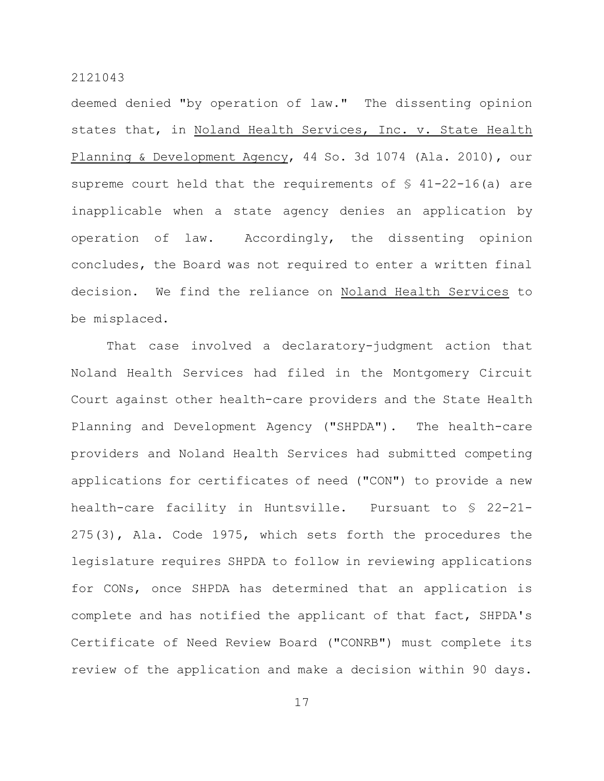deemed denied "by operation of law." The dissenting opinion states that, in Noland Health Services, Inc. v. State Health Planning & Development Agency, 44 So. 3d 1074 (Ala. 2010), our supreme court held that the requirements of  $\frac{1}{2}$  41-22-16(a) are inapplicable when a state agency denies an application by operation of law. Accordingly, the dissenting opinion concludes, the Board was not required to enter a written final decision. We find the reliance on Noland Health Services to be misplaced.

That case involved a declaratory-judgment action that Noland Health Services had filed in the Montgomery Circuit Court against other health-care providers and the State Health Planning and Development Agency ("SHPDA"). The health-care providers and Noland Health Services had submitted competing applications for certificates of need ("CON") to provide a new health-care facility in Huntsville. Pursuant to § 22-21- 275(3), Ala. Code 1975, which sets forth the procedures the legislature requires SHPDA to follow in reviewing applications for CONs, once SHPDA has determined that an application is complete and has notified the applicant of that fact, SHPDA's Certificate of Need Review Board ("CONRB") must complete its review of the application and make a decision within 90 days.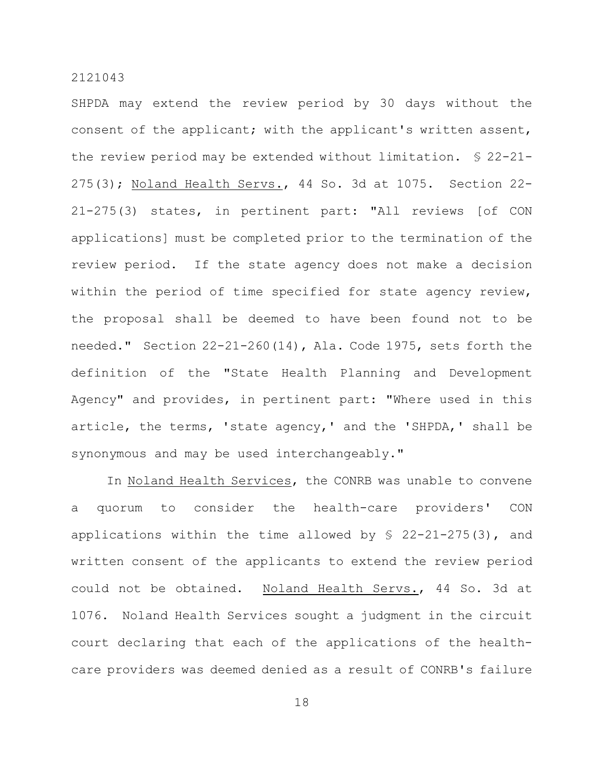SHPDA may extend the review period by 30 days without the consent of the applicant; with the applicant's written assent, the review period may be extended without limitation. § 22-21- 275(3); Noland Health Servs., 44 So. 3d at 1075. Section 22- 21-275(3) states, in pertinent part: "All reviews [of CON applications] must be completed prior to the termination of the review period. If the state agency does not make a decision within the period of time specified for state agency review, the proposal shall be deemed to have been found not to be needed." Section 22-21-260(14), Ala. Code 1975, sets forth the definition of the "State Health Planning and Development Agency" and provides, in pertinent part: "Where used in this article, the terms, 'state agency,' and the 'SHPDA,' shall be synonymous and may be used interchangeably."

In Noland Health Services, the CONRB was unable to convene a quorum to consider the health-care providers' CON applications within the time allowed by  $$ 22-21-275(3)$ , and written consent of the applicants to extend the review period could not be obtained. Noland Health Servs., 44 So. 3d at 1076. Noland Health Services sought a judgment in the circuit court declaring that each of the applications of the healthcare providers was deemed denied as a result of CONRB's failure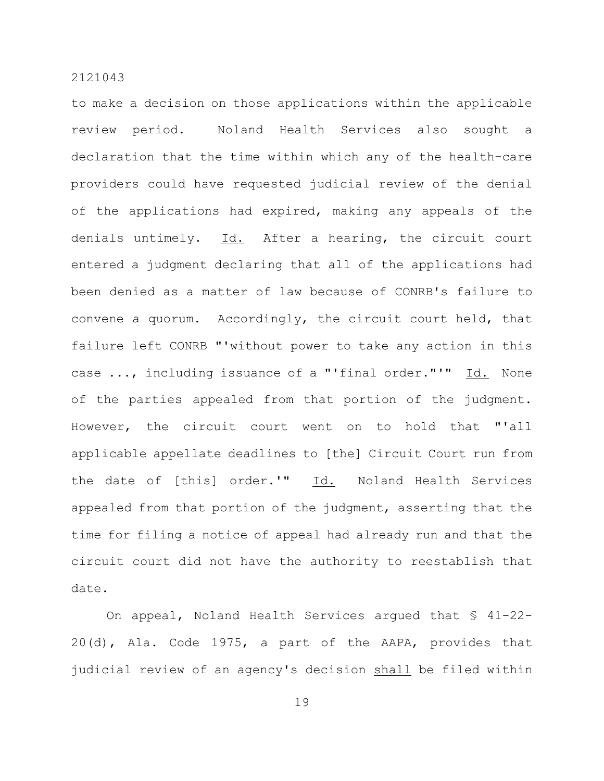to make a decision on those applications within the applicable review period. Noland Health Services also sought a declaration that the time within which any of the health-care providers could have requested judicial review of the denial of the applications had expired, making any appeals of the denials untimely. Id. After a hearing, the circuit court entered a judgment declaring that all of the applications had been denied as a matter of law because of CONRB's failure to convene a quorum. Accordingly, the circuit court held, that failure left CONRB "'without power to take any action in this case ..., including issuance of a "'final order."'" Id. None of the parties appealed from that portion of the judgment. However, the circuit court went on to hold that "'all applicable appellate deadlines to [the] Circuit Court run from the date of [this] order.'" Id. Noland Health Services appealed from that portion of the judgment, asserting that the time for filing a notice of appeal had already run and that the circuit court did not have the authority to reestablish that date.

On appeal, Noland Health Services argued that § 41-22- 20(d), Ala. Code 1975, a part of the AAPA, provides that judicial review of an agency's decision shall be filed within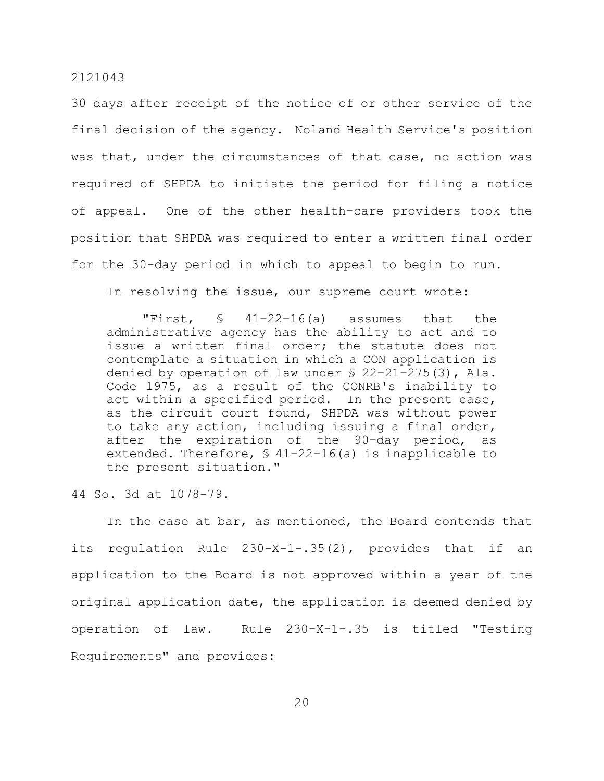30 days after receipt of the notice of or other service of the final decision of the agency. Noland Health Service's position was that, under the circumstances of that case, no action was required of SHPDA to initiate the period for filing a notice of appeal. One of the other health-care providers took the position that SHPDA was required to enter a written final order for the 30-day period in which to appeal to begin to run.

In resolving the issue, our supreme court wrote:

"First, § 41–22–16(a) assumes that the administrative agency has the ability to act and to issue a written final order; the statute does not contemplate a situation in which a CON application is denied by operation of law under § 22–21–275(3), Ala. Code 1975, as a result of the CONRB's inability to act within a specified period. In the present case, as the circuit court found, SHPDA was without power to take any action, including issuing a final order, after the expiration of the 90–day period, as extended. Therefore, § 41–22–16(a) is inapplicable to the present situation."

44 So. 3d at 1078-79.

In the case at bar, as mentioned, the Board contends that its regulation Rule 230-X-1-.35(2), provides that if an application to the Board is not approved within a year of the original application date, the application is deemed denied by operation of law. Rule 230-X-1-.35 is titled "Testing Requirements" and provides: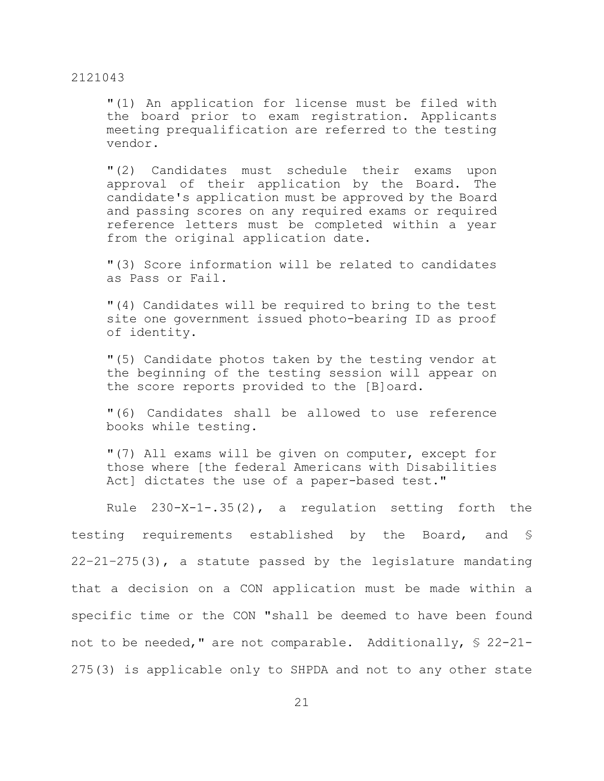"(1) An application for license must be filed with the board prior to exam registration. Applicants meeting prequalification are referred to the testing vendor.

"(2) Candidates must schedule their exams upon approval of their application by the Board. The candidate's application must be approved by the Board and passing scores on any required exams or required reference letters must be completed within a year from the original application date.

"(3) Score information will be related to candidates as Pass or Fail.

"(4) Candidates will be required to bring to the test site one government issued photo-bearing ID as proof of identity.

"(5) Candidate photos taken by the testing vendor at the beginning of the testing session will appear on the score reports provided to the [B]oard.

"(6) Candidates shall be allowed to use reference books while testing.

"(7) All exams will be given on computer, except for those where [the federal Americans with Disabilities Act] dictates the use of a paper-based test."

Rule 230-X-1-.35(2), a regulation setting forth the testing requirements established by the Board, and § 22–21–275(3), a statute passed by the legislature mandating that a decision on a CON application must be made within a specific time or the CON "shall be deemed to have been found not to be needed," are not comparable. Additionally, § 22-21- 275(3) is applicable only to SHPDA and not to any other state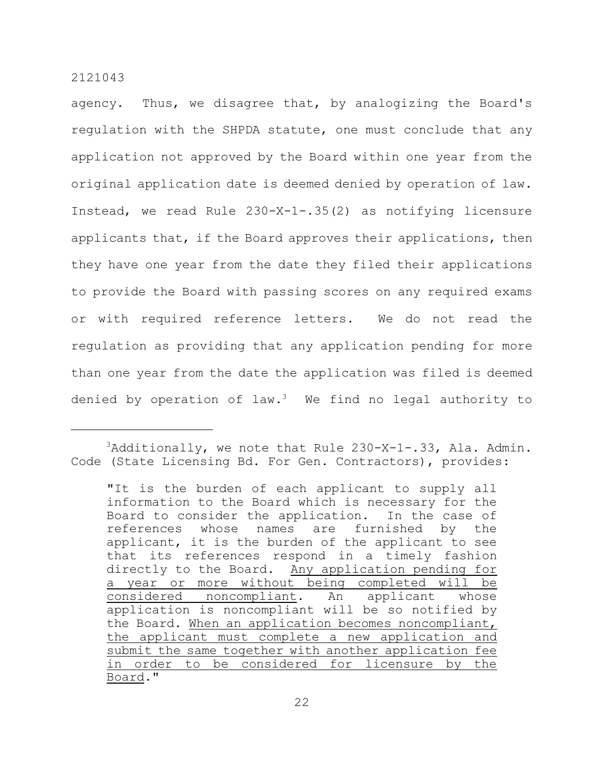agency. Thus, we disagree that, by analogizing the Board's regulation with the SHPDA statute, one must conclude that any application not approved by the Board within one year from the original application date is deemed denied by operation of law. Instead, we read Rule 230-X-1-.35(2) as notifying licensure applicants that, if the Board approves their applications, then they have one year from the date they filed their applications to provide the Board with passing scores on any required exams or with required reference letters. We do not read the regulation as providing that any application pending for more than one year from the date the application was filed is deemed denied by operation of law.<sup>3</sup> We find no legal authority to

 $3$ Additionally, we note that Rule 230-X-1-.33, Ala. Admin. Code (State Licensing Bd. For Gen. Contractors), provides:

<sup>&</sup>quot;It is the burden of each applicant to supply all information to the Board which is necessary for the Board to consider the application. In the case of references whose names are furnished by the applicant, it is the burden of the applicant to see that its references respond in a timely fashion directly to the Board. Any application pending for a year or more without being completed will be considered noncompliant. An applicant whose application is noncompliant will be so notified by the Board. When an application becomes noncompliant, the applicant must complete a new application and submit the same together with another application fee in order to be considered for licensure by the Board."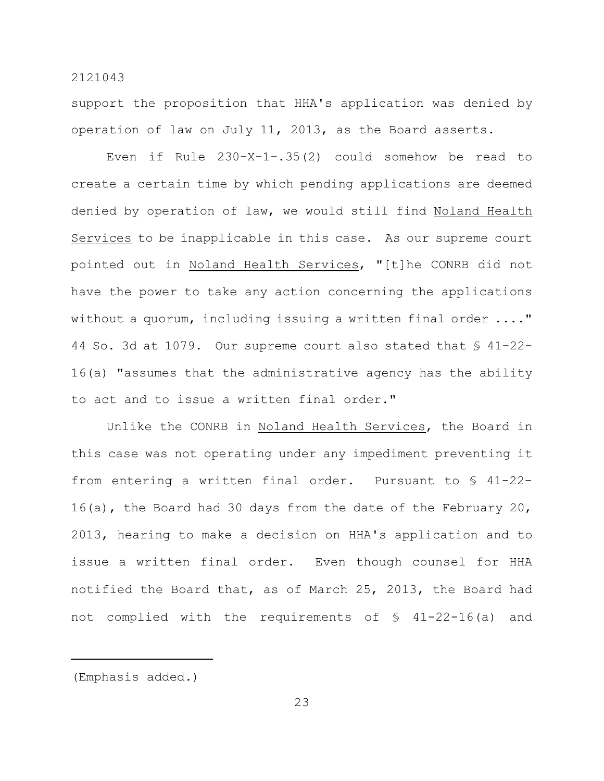support the proposition that HHA's application was denied by operation of law on July 11, 2013, as the Board asserts.

Even if Rule 230-X-1-.35(2) could somehow be read to create a certain time by which pending applications are deemed denied by operation of law, we would still find Noland Health Services to be inapplicable in this case. As our supreme court pointed out in Noland Health Services, "[t]he CONRB did not have the power to take any action concerning the applications without a quorum, including issuing a written final order ...." 44 So. 3d at 1079. Our supreme court also stated that § 41-22- 16(a) "assumes that the administrative agency has the ability to act and to issue a written final order."

Unlike the CONRB in Noland Health Services, the Board in this case was not operating under any impediment preventing it from entering a written final order. Pursuant to § 41-22- 16(a), the Board had 30 days from the date of the February 20, 2013, hearing to make a decision on HHA's application and to issue a written final order. Even though counsel for HHA notified the Board that, as of March 25, 2013, the Board had not complied with the requirements of § 41-22-16(a) and

<sup>(</sup>Emphasis added.)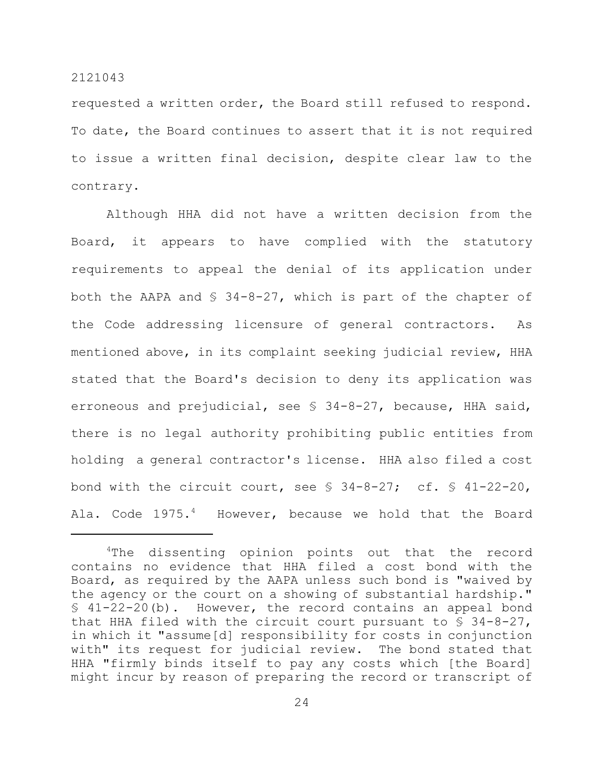requested a written order, the Board still refused to respond. To date, the Board continues to assert that it is not required to issue a written final decision, despite clear law to the contrary.

Although HHA did not have a written decision from the Board, it appears to have complied with the statutory requirements to appeal the denial of its application under both the AAPA and  $\S$  34-8-27, which is part of the chapter of the Code addressing licensure of general contractors. As mentioned above, in its complaint seeking judicial review, HHA stated that the Board's decision to deny its application was erroneous and prejudicial, see § 34-8-27, because, HHA said, there is no legal authority prohibiting public entities from holding a general contractor's license. HHA also filed a cost bond with the circuit court, see  $\S$  34-8-27; cf.  $\S$  41-22-20, Ala. Code 1975.<sup>4</sup> However, because we hold that the Board

<sup>&</sup>lt;sup>4</sup>The dissenting opinion points out that the record contains no evidence that HHA filed a cost bond with the Board, as required by the AAPA unless such bond is "waived by the agency or the court on a showing of substantial hardship."  $$41-22-20(b)$ . However, the record contains an appeal bond that HHA filed with the circuit court pursuant to  $\S$  34-8-27, in which it "assume[d] responsibility for costs in conjunction with" its request for judicial review. The bond stated that HHA "firmly binds itself to pay any costs which [the Board] might incur by reason of preparing the record or transcript of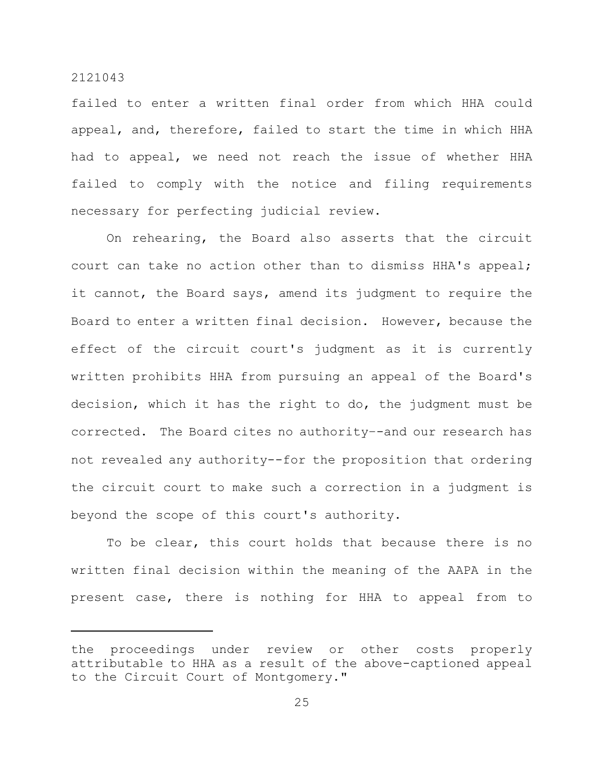failed to enter a written final order from which HHA could appeal, and, therefore, failed to start the time in which HHA had to appeal, we need not reach the issue of whether HHA failed to comply with the notice and filing requirements necessary for perfecting judicial review.

On rehearing, the Board also asserts that the circuit court can take no action other than to dismiss HHA's appeal; it cannot, the Board says, amend its judgment to require the Board to enter a written final decision. However, because the effect of the circuit court's judgment as it is currently written prohibits HHA from pursuing an appeal of the Board's decision, which it has the right to do, the judgment must be corrected. The Board cites no authority–-and our research has not revealed any authority--for the proposition that ordering the circuit court to make such a correction in a judgment is beyond the scope of this court's authority.

To be clear, this court holds that because there is no written final decision within the meaning of the AAPA in the present case, there is nothing for HHA to appeal from to

the proceedings under review or other costs properly attributable to HHA as a result of the above-captioned appeal to the Circuit Court of Montgomery."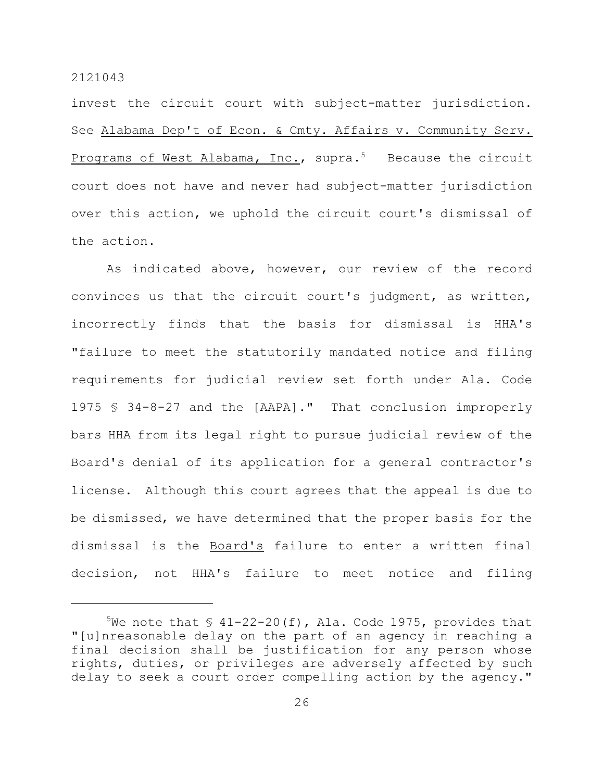invest the circuit court with subject-matter jurisdiction. See Alabama Dep't of Econ. & Cmty. Affairs v. Community Serv. Programs of West Alabama, Inc., supra.<sup>5</sup> Because the circuit court does not have and never had subject-matter jurisdiction over this action, we uphold the circuit court's dismissal of the action.

As indicated above, however, our review of the record convinces us that the circuit court's judgment, as written, incorrectly finds that the basis for dismissal is HHA's "failure to meet the statutorily mandated notice and filing requirements for judicial review set forth under Ala. Code 1975 § 34-8-27 and the [AAPA]." That conclusion improperly bars HHA from its legal right to pursue judicial review of the Board's denial of its application for a general contractor's license. Although this court agrees that the appeal is due to be dismissed, we have determined that the proper basis for the dismissal is the Board's failure to enter a written final decision, not HHA's failure to meet notice and filing

<sup>&</sup>lt;sup>5</sup>We note that  $\frac{1}{2}$  41-22-20(f), Ala. Code 1975, provides that "[u]nreasonable delay on the part of an agency in reaching a final decision shall be justification for any person whose rights, duties, or privileges are adversely affected by such delay to seek a court order compelling action by the agency."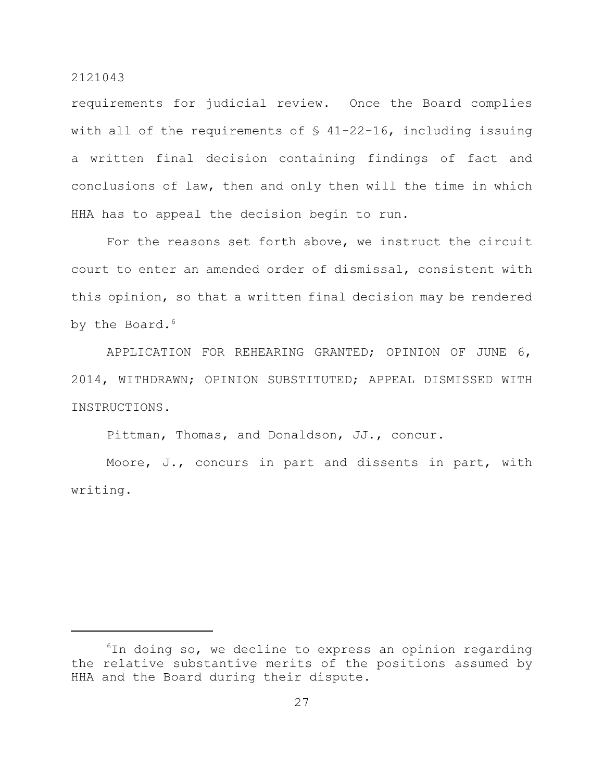requirements for judicial review. Once the Board complies with all of the requirements of  $$ 41-22-16$ , including issuing a written final decision containing findings of fact and conclusions of law, then and only then will the time in which HHA has to appeal the decision begin to run.

For the reasons set forth above, we instruct the circuit court to enter an amended order of dismissal, consistent with this opinion, so that a written final decision may be rendered by the Board.<sup>6</sup>

APPLICATION FOR REHEARING GRANTED; OPINION OF JUNE 6, 2014, WITHDRAWN; OPINION SUBSTITUTED; APPEAL DISMISSED WITH INSTRUCTIONS.

Pittman, Thomas, and Donaldson, JJ., concur.

Moore, J., concurs in part and dissents in part, with writing.

 $6$ In doing so, we decline to express an opinion regarding the relative substantive merits of the positions assumed by HHA and the Board during their dispute.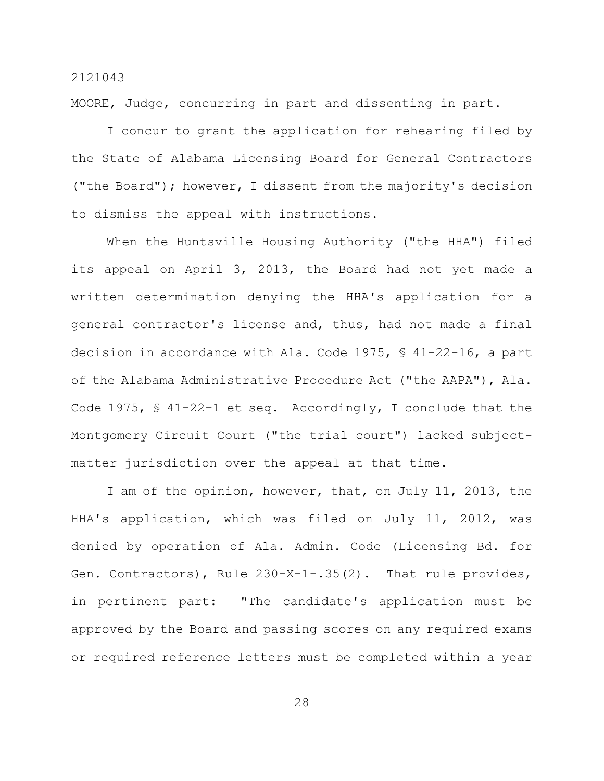MOORE, Judge, concurring in part and dissenting in part.

I concur to grant the application for rehearing filed by the State of Alabama Licensing Board for General Contractors ("the Board"); however, I dissent from the majority's decision to dismiss the appeal with instructions.

When the Huntsville Housing Authority ("the HHA") filed its appeal on April 3, 2013, the Board had not yet made a written determination denying the HHA's application for a general contractor's license and, thus, had not made a final decision in accordance with Ala. Code 1975, § 41-22-16, a part of the Alabama Administrative Procedure Act ("the AAPA"), Ala. Code 1975, § 41-22-1 et seq. Accordingly, I conclude that the Montgomery Circuit Court ("the trial court") lacked subjectmatter jurisdiction over the appeal at that time.

I am of the opinion, however, that, on July 11, 2013, the HHA's application, which was filed on July 11, 2012, was denied by operation of Ala. Admin. Code (Licensing Bd. for Gen. Contractors), Rule 230-X-1-.35(2). That rule provides, in pertinent part: "The candidate's application must be approved by the Board and passing scores on any required exams or required reference letters must be completed within a year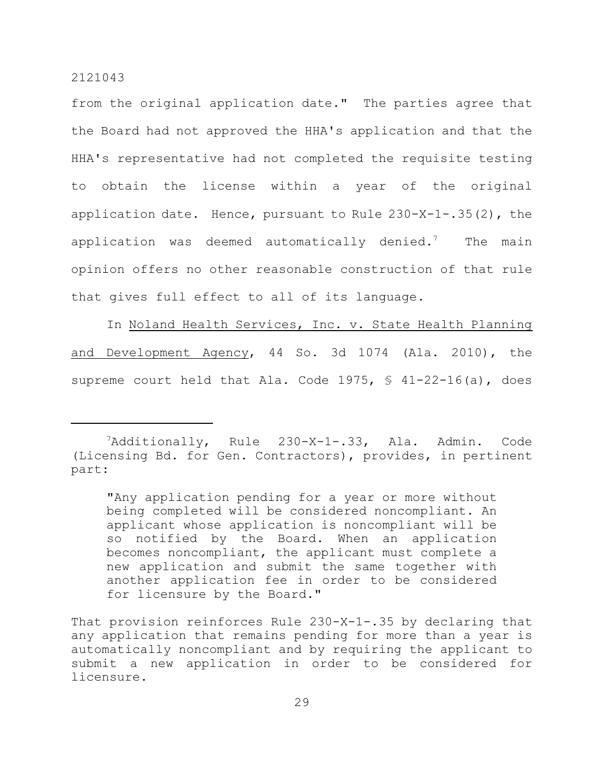from the original application date." The parties agree that the Board had not approved the HHA's application and that the HHA's representative had not completed the requisite testing to obtain the license within a year of the original application date. Hence, pursuant to Rule 230-X-1-.35(2), the application was deemed automatically denied.<sup>7</sup> The main opinion offers no other reasonable construction of that rule that gives full effect to all of its language.

In Noland Health Services, Inc. v. State Health Planning and Development Agency, 44 So. 3d 1074 (Ala. 2010), the supreme court held that Ala. Code 1975, § 41-22-16(a), does

 $A$ dditionally, Rule 230-X-1-.33, Ala. Admin. Code (Licensing Bd. for Gen. Contractors), provides, in pertinent part:

<sup>&</sup>quot;Any application pending for a year or more without being completed will be considered noncompliant. An applicant whose application is noncompliant will be so notified by the Board. When an application becomes noncompliant, the applicant must complete a new application and submit the same together with another application fee in order to be considered for licensure by the Board."

That provision reinforces Rule 230-X-1-.35 by declaring that any application that remains pending for more than a year is automatically noncompliant and by requiring the applicant to submit a new application in order to be considered for licensure.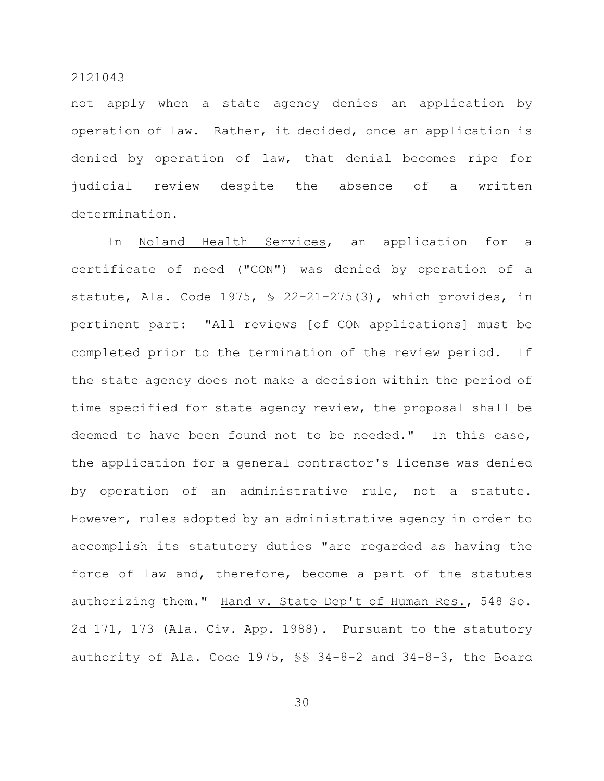not apply when a state agency denies an application by operation of law. Rather, it decided, once an application is denied by operation of law, that denial becomes ripe for judicial review despite the absence of a written determination.

In Noland Health Services, an application for a certificate of need ("CON") was denied by operation of a statute, Ala. Code 1975, § 22-21-275(3), which provides, in pertinent part: "All reviews [of CON applications] must be completed prior to the termination of the review period. If the state agency does not make a decision within the period of time specified for state agency review, the proposal shall be deemed to have been found not to be needed." In this case, the application for a general contractor's license was denied by operation of an administrative rule, not a statute. However, rules adopted by an administrative agency in order to accomplish its statutory duties "are regarded as having the force of law and, therefore, become a part of the statutes authorizing them." Hand v. State Dep't of Human Res., 548 So. 2d 171, 173 (Ala. Civ. App. 1988). Pursuant to the statutory authority of Ala. Code 1975, §§ 34-8-2 and 34-8-3, the Board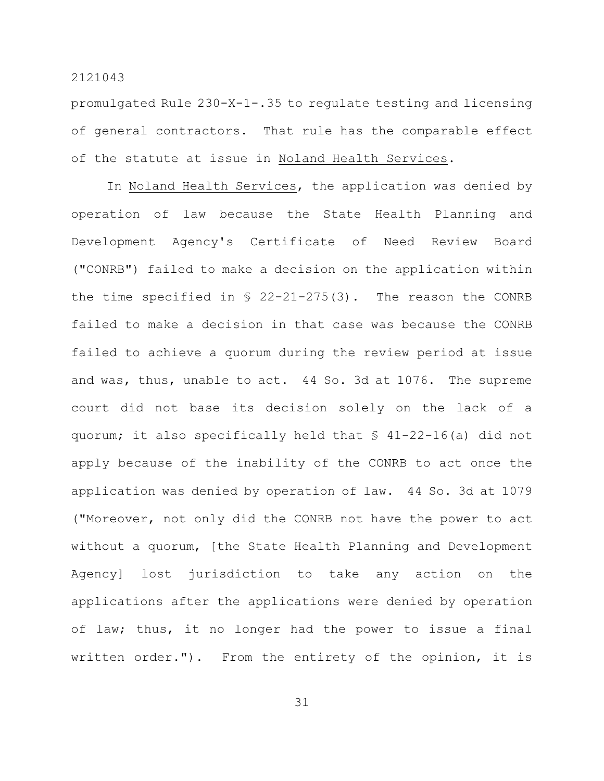promulgated Rule 230-X-1-.35 to regulate testing and licensing of general contractors. That rule has the comparable effect of the statute at issue in Noland Health Services.

In Noland Health Services, the application was denied by operation of law because the State Health Planning and Development Agency's Certificate of Need Review Board ("CONRB") failed to make a decision on the application within the time specified in  $\frac{1}{2}$  22-21-275(3). The reason the CONRB failed to make a decision in that case was because the CONRB failed to achieve a quorum during the review period at issue and was, thus, unable to act. 44 So. 3d at 1076. The supreme court did not base its decision solely on the lack of a quorum; it also specifically held that § 41-22-16(a) did not apply because of the inability of the CONRB to act once the application was denied by operation of law. 44 So. 3d at 1079 ("Moreover, not only did the CONRB not have the power to act without a quorum, [the State Health Planning and Development Agency] lost jurisdiction to take any action on the applications after the applications were denied by operation of law; thus, it no longer had the power to issue a final written order."). From the entirety of the opinion, it is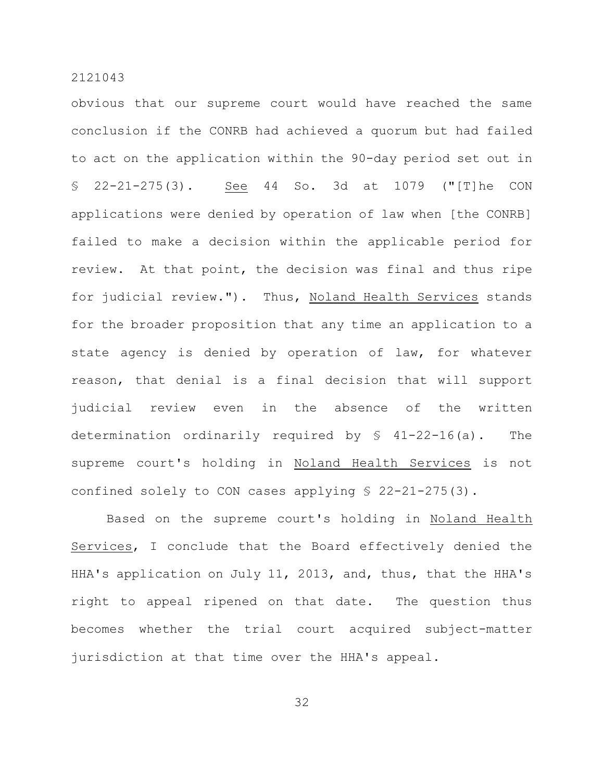obvious that our supreme court would have reached the same conclusion if the CONRB had achieved a quorum but had failed to act on the application within the 90-day period set out in § 22-21-275(3). See 44 So. 3d at 1079 ("[T]he CON applications were denied by operation of law when [the CONRB] failed to make a decision within the applicable period for review. At that point, the decision was final and thus ripe for judicial review."). Thus, Noland Health Services stands for the broader proposition that any time an application to a state agency is denied by operation of law, for whatever reason, that denial is a final decision that will support judicial review even in the absence of the written determination ordinarily required by § 41-22-16(a). The supreme court's holding in Noland Health Services is not confined solely to CON cases applying § 22-21-275(3).

Based on the supreme court's holding in Noland Health Services, I conclude that the Board effectively denied the HHA's application on July 11, 2013, and, thus, that the HHA's right to appeal ripened on that date. The question thus becomes whether the trial court acquired subject-matter jurisdiction at that time over the HHA's appeal.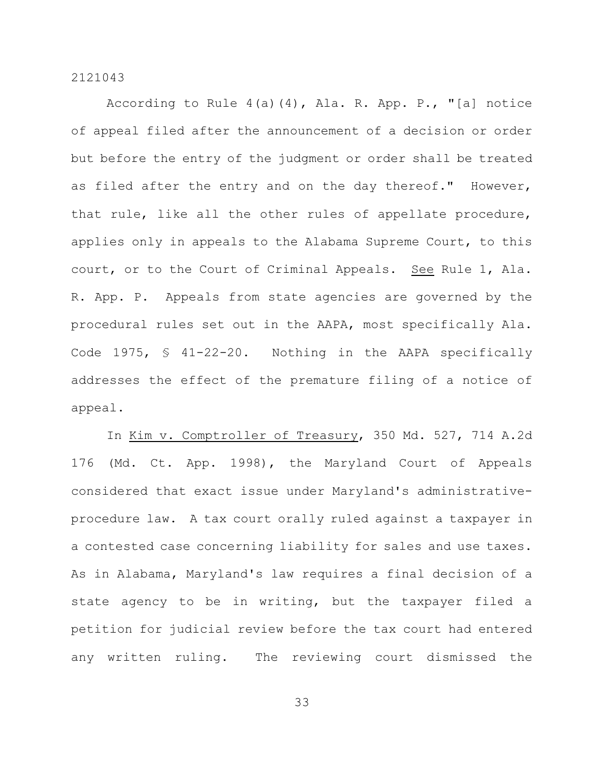According to Rule 4(a)(4), Ala. R. App. P., "[a] notice of appeal filed after the announcement of a decision or order but before the entry of the judgment or order shall be treated as filed after the entry and on the day thereof." However, that rule, like all the other rules of appellate procedure, applies only in appeals to the Alabama Supreme Court, to this court, or to the Court of Criminal Appeals. See Rule 1, Ala. R. App. P. Appeals from state agencies are governed by the procedural rules set out in the AAPA, most specifically Ala. Code 1975, § 41-22-20. Nothing in the AAPA specifically addresses the effect of the premature filing of a notice of appeal.

In Kim v. Comptroller of Treasury, 350 Md. 527, 714 A.2d 176 (Md. Ct. App. 1998), the Maryland Court of Appeals considered that exact issue under Maryland's administrativeprocedure law. A tax court orally ruled against a taxpayer in a contested case concerning liability for sales and use taxes. As in Alabama, Maryland's law requires a final decision of a state agency to be in writing, but the taxpayer filed a petition for judicial review before the tax court had entered any written ruling. The reviewing court dismissed the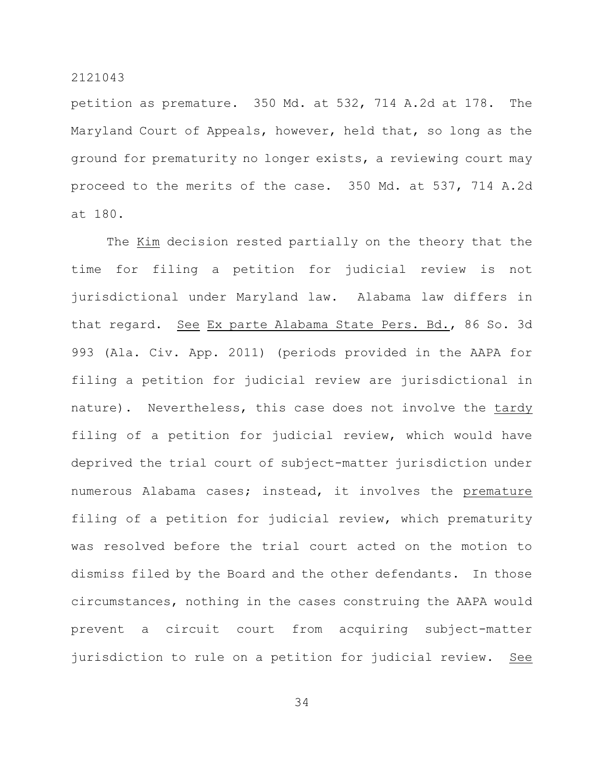petition as premature. 350 Md. at 532, 714 A.2d at 178. The Maryland Court of Appeals, however, held that, so long as the ground for prematurity no longer exists, a reviewing court may proceed to the merits of the case. 350 Md. at 537, 714 A.2d at 180.

The Kim decision rested partially on the theory that the time for filing a petition for judicial review is not jurisdictional under Maryland law. Alabama law differs in that regard. See Ex parte Alabama State Pers. Bd., 86 So. 3d 993 (Ala. Civ. App. 2011) (periods provided in the AAPA for filing a petition for judicial review are jurisdictional in nature). Nevertheless, this case does not involve the tardy filing of a petition for judicial review, which would have deprived the trial court of subject-matter jurisdiction under numerous Alabama cases; instead, it involves the premature filing of a petition for judicial review, which prematurity was resolved before the trial court acted on the motion to dismiss filed by the Board and the other defendants. In those circumstances, nothing in the cases construing the AAPA would prevent a circuit court from acquiring subject-matter jurisdiction to rule on a petition for judicial review. See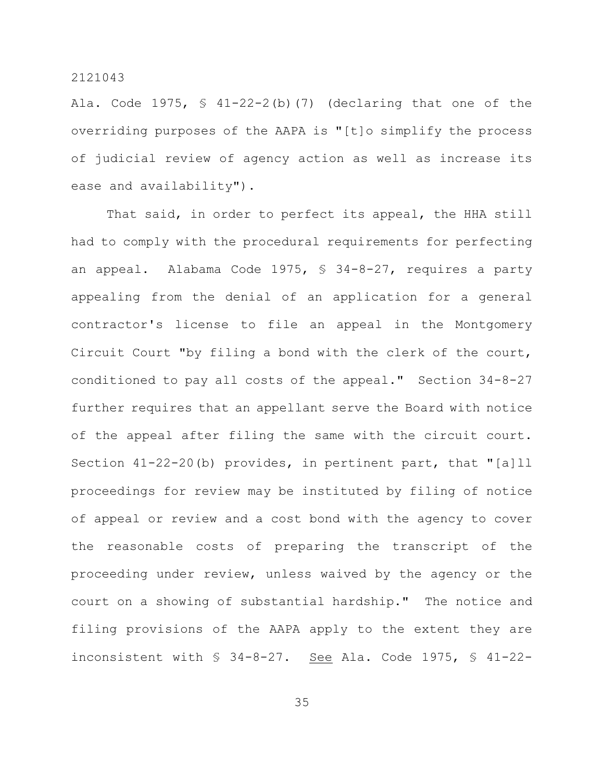Ala. Code  $1975$ ,  $\frac{1}{22}$   $-2$  (b) (7) (declaring that one of the overriding purposes of the AAPA is "[t]o simplify the process of judicial review of agency action as well as increase its ease and availability").

That said, in order to perfect its appeal, the HHA still had to comply with the procedural requirements for perfecting an appeal. Alabama Code 1975, § 34-8-27, requires a party appealing from the denial of an application for a general contractor's license to file an appeal in the Montgomery Circuit Court "by filing a bond with the clerk of the court, conditioned to pay all costs of the appeal." Section 34-8-27 further requires that an appellant serve the Board with notice of the appeal after filing the same with the circuit court. Section 41-22-20(b) provides, in pertinent part, that "[a]ll proceedings for review may be instituted by filing of notice of appeal or review and a cost bond with the agency to cover the reasonable costs of preparing the transcript of the proceeding under review, unless waived by the agency or the court on a showing of substantial hardship." The notice and filing provisions of the AAPA apply to the extent they are inconsistent with § 34-8-27. See Ala. Code 1975, § 41-22-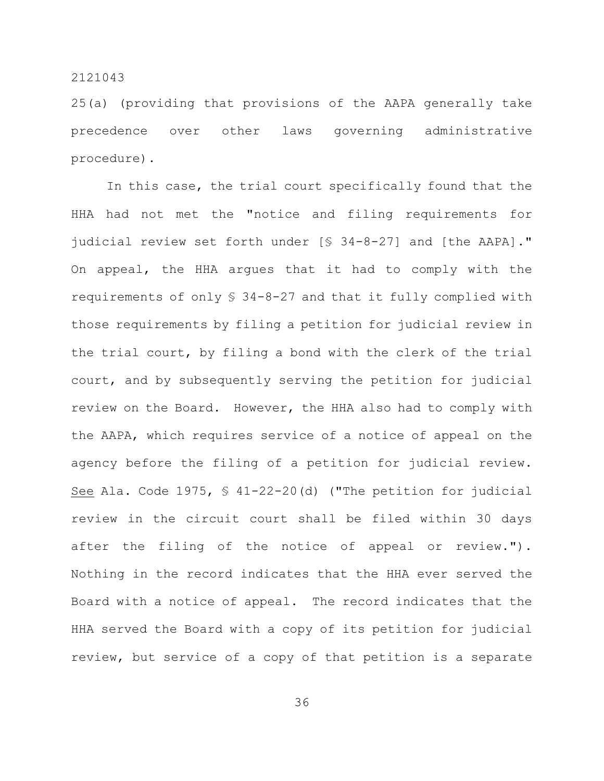25(a) (providing that provisions of the AAPA generally take precedence over other laws governing administrative procedure).

In this case, the trial court specifically found that the HHA had not met the "notice and filing requirements for judicial review set forth under [§ 34-8-27] and [the AAPA]." On appeal, the HHA argues that it had to comply with the requirements of only § 34-8-27 and that it fully complied with those requirements by filing a petition for judicial review in the trial court, by filing a bond with the clerk of the trial court, and by subsequently serving the petition for judicial review on the Board. However, the HHA also had to comply with the AAPA, which requires service of a notice of appeal on the agency before the filing of a petition for judicial review. See Ala. Code 1975, § 41-22-20(d) ("The petition for judicial review in the circuit court shall be filed within 30 days after the filing of the notice of appeal or review."). Nothing in the record indicates that the HHA ever served the Board with a notice of appeal. The record indicates that the HHA served the Board with a copy of its petition for judicial review, but service of a copy of that petition is a separate